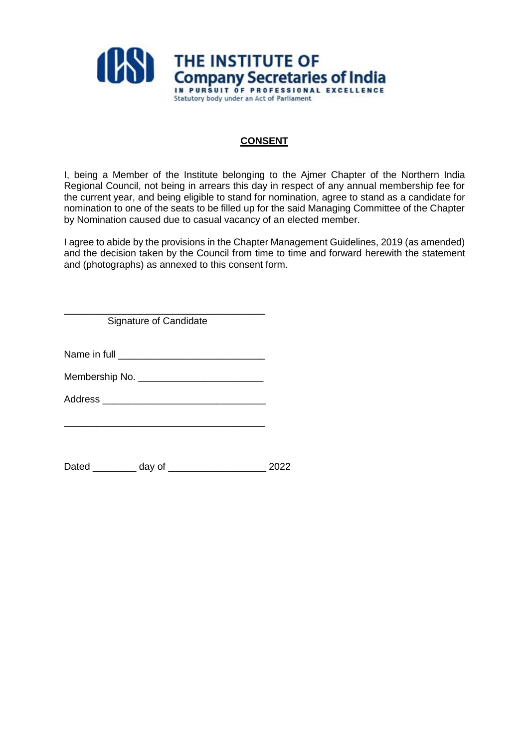

## **CONSENT**

I, being a Member of the Institute belonging to the Ajmer Chapter of the Northern India Regional Council, not being in arrears this day in respect of any annual membership fee for the current year, and being eligible to stand for nomination, agree to stand as a candidate for nomination to one of the seats to be filled up for the said Managing Committee of the Chapter by Nomination caused due to casual vacancy of an elected member.

I agree to abide by the provisions in the Chapter Management Guidelines, 2019 (as amended) and the decision taken by the Council from time to time and forward herewith the statement and (photographs) as annexed to this consent form.

\_\_\_\_\_\_\_\_\_\_\_\_\_\_\_\_\_\_\_\_\_\_\_\_\_\_\_\_\_\_\_\_\_\_\_\_\_ Signature of Candidate

Name in full **Name** in full **Name** in the state of  $\alpha$ 

Membership No. \_\_\_\_\_\_\_\_\_\_\_\_\_\_\_\_\_\_\_\_\_\_\_

Address \_\_\_\_\_\_\_\_\_\_\_\_\_\_\_\_\_\_\_\_\_\_\_\_\_\_\_\_\_\_

\_\_\_\_\_\_\_\_\_\_\_\_\_\_\_\_\_\_\_\_\_\_\_\_\_\_\_\_\_\_\_\_\_\_\_\_\_

Dated day of 2022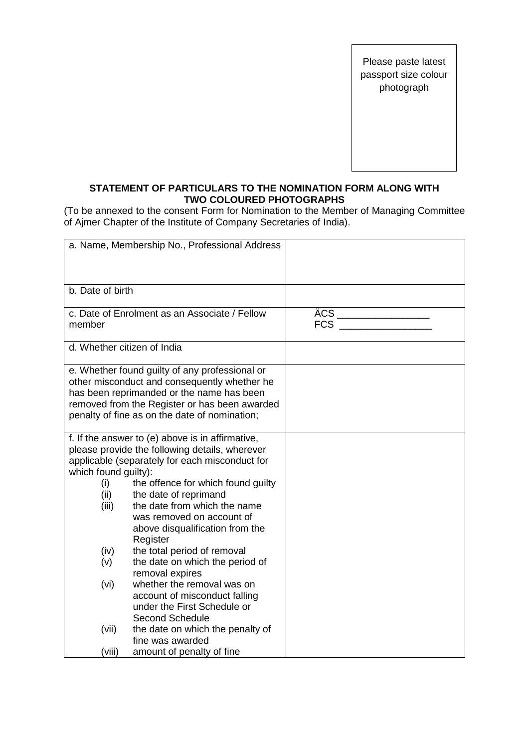Please paste latest passport size colour photograph

## **STATEMENT OF PARTICULARS TO THE NOMINATION FORM ALONG WITH TWO COLOURED PHOTOGRAPHS**

(To be annexed to the consent Form for Nomination to the Member of Managing Committee of Ajmer Chapter of the Institute of Company Secretaries of India).

| a. Name, Membership No., Professional Address                                                                                                                                                                                                                                                                                                                                                                                                                                                                                                                                                            |                   |
|----------------------------------------------------------------------------------------------------------------------------------------------------------------------------------------------------------------------------------------------------------------------------------------------------------------------------------------------------------------------------------------------------------------------------------------------------------------------------------------------------------------------------------------------------------------------------------------------------------|-------------------|
| b. Date of birth                                                                                                                                                                                                                                                                                                                                                                                                                                                                                                                                                                                         |                   |
| c. Date of Enrolment as an Associate / Fellow                                                                                                                                                                                                                                                                                                                                                                                                                                                                                                                                                            | ÄCS<br><b>FCS</b> |
| d. Whether citizen of India                                                                                                                                                                                                                                                                                                                                                                                                                                                                                                                                                                              |                   |
| e. Whether found guilty of any professional or<br>other misconduct and consequently whether he<br>has been reprimanded or the name has been<br>removed from the Register or has been awarded<br>penalty of fine as on the date of nomination;                                                                                                                                                                                                                                                                                                                                                            |                   |
| f. If the answer to (e) above is in affirmative,<br>please provide the following details, wherever<br>applicable (separately for each misconduct for<br>which found guilty):<br>the offence for which found guilty<br>the date of reprimand<br>the date from which the name<br>was removed on account of<br>above disqualification from the<br>Register<br>the total period of removal<br>the date on which the period of<br>removal expires<br>whether the removal was on<br>account of misconduct falling<br>under the First Schedule or<br><b>Second Schedule</b><br>the date on which the penalty of |                   |
| amount of penalty of fine                                                                                                                                                                                                                                                                                                                                                                                                                                                                                                                                                                                |                   |
|                                                                                                                                                                                                                                                                                                                                                                                                                                                                                                                                                                                                          | fine was awarded  |